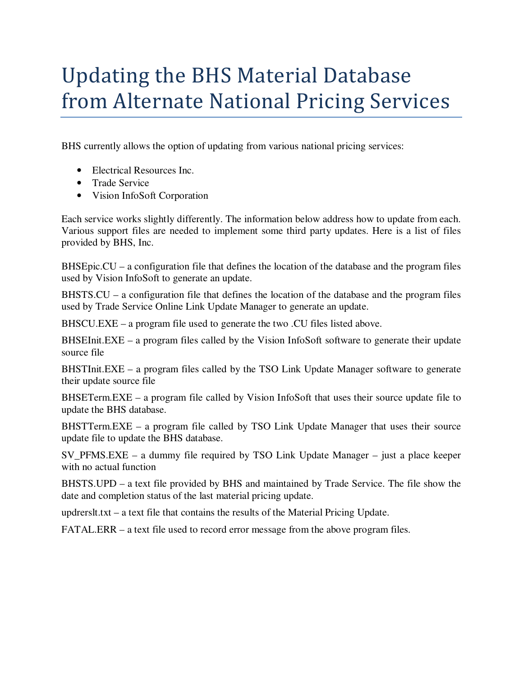# Updating the BHS Material Database from Alternate National Pricing Services

BHS currently allows the option of updating from various national pricing services:

- Electrical Resources Inc.
- Trade Service
- Vision InfoSoft Corporation

Each service works slightly differently. The information below address how to update from each. Various support files are needed to implement some third party updates. Here is a list of files provided by BHS, Inc.

BHSEpic.CU – a configuration file that defines the location of the database and the program files used by Vision InfoSoft to generate an update.

BHSTS.CU – a configuration file that defines the location of the database and the program files used by Trade Service Online Link Update Manager to generate an update.

BHSCU.EXE – a program file used to generate the two .CU files listed above.

BHSEInit.EXE – a program files called by the Vision InfoSoft software to generate their update source file

BHSTInit.EXE – a program files called by the TSO Link Update Manager software to generate their update source file

BHSETerm.EXE – a program file called by Vision InfoSoft that uses their source update file to update the BHS database.

BHSTTerm.EXE – a program file called by TSO Link Update Manager that uses their source update file to update the BHS database.

SV\_PFMS.EXE – a dummy file required by TSO Link Update Manager – just a place keeper with no actual function

BHSTS.UPD – a text file provided by BHS and maintained by Trade Service. The file show the date and completion status of the last material pricing update.

updrerslt.txt – a text file that contains the results of the Material Pricing Update.

FATAL.ERR – a text file used to record error message from the above program files.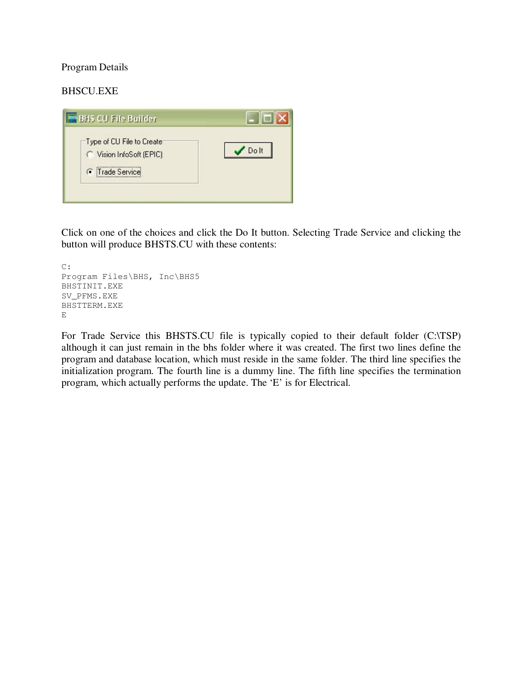### Program Details

## BHSCU.EXE



Click on one of the choices and click the Do It button. Selecting Trade Service and clicking the button will produce BHSTS.CU with these contents:

```
C: 
Program Files\BHS, Inc\BHS5
BHSTINIT.EXE 
SV_PFMS.EXE 
BHSTTERM.EXE 
E
```
For Trade Service this BHSTS.CU file is typically copied to their default folder (C:\TSP) although it can just remain in the bhs folder where it was created. The first two lines define the program and database location, which must reside in the same folder. The third line specifies the initialization program. The fourth line is a dummy line. The fifth line specifies the termination program, which actually performs the update. The 'E' is for Electrical.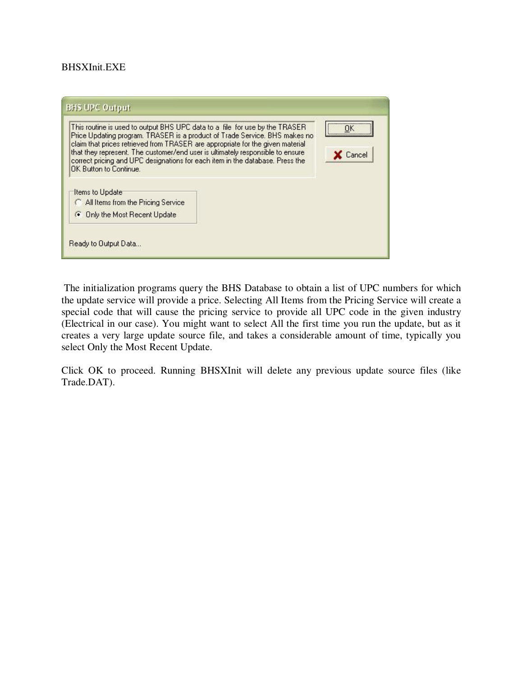#### BHSXInit.EXE

| This routine is used to output BHS UPC data to a file for use by the TRASER<br>Price Updating program. TRASER is a product of Trade Service. BHS makes no<br>claim that prices retrieved from TRASER are appropriate for the given material<br>that they represent. The customer/end user is ultimately responsible to ensure<br>correct pricing and UPC designations for each item in the database. Press the<br>OK Button to Continue.<br>Items to Update<br>All Items from the Pricing Service<br><b>C</b> Only the Most Recent Update | <br>Cancel |
|-------------------------------------------------------------------------------------------------------------------------------------------------------------------------------------------------------------------------------------------------------------------------------------------------------------------------------------------------------------------------------------------------------------------------------------------------------------------------------------------------------------------------------------------|------------|
| Ready to Output Data                                                                                                                                                                                                                                                                                                                                                                                                                                                                                                                      |            |

 The initialization programs query the BHS Database to obtain a list of UPC numbers for which the update service will provide a price. Selecting All Items from the Pricing Service will create a special code that will cause the pricing service to provide all UPC code in the given industry (Electrical in our case). You might want to select All the first time you run the update, but as it creates a very large update source file, and takes a considerable amount of time, typically you select Only the Most Recent Update.

Click OK to proceed. Running BHSXInit will delete any previous update source files (like Trade.DAT).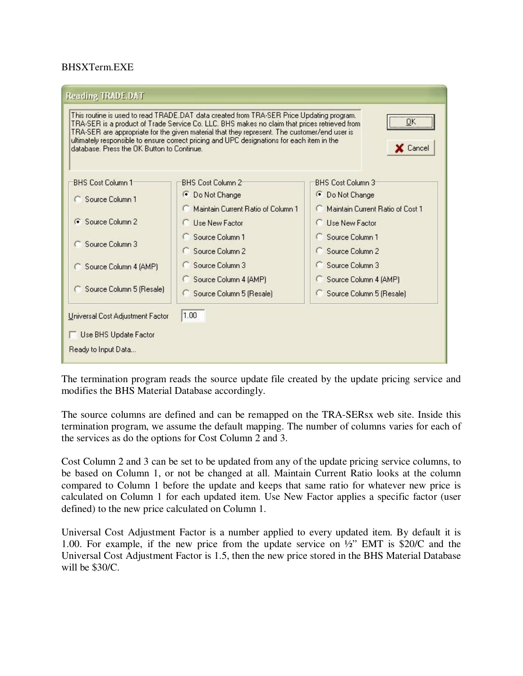#### BHSXTerm.EXE

| database. Press the OK Button to Continue. | This routine is used to read TRADE.DAT data created from TRA-SER Price Updating program.<br>TRA-SER is a product of Trade Service Co. LLC. BHS makes no claim that prices retrieved from<br>TRA-SER are appropriate for the given material that they represent. The customer/end user is<br>ultimately responsible to ensure correct pricing and UPC designations for each item in the | ΟK<br>X Cancel                   |
|--------------------------------------------|----------------------------------------------------------------------------------------------------------------------------------------------------------------------------------------------------------------------------------------------------------------------------------------------------------------------------------------------------------------------------------------|----------------------------------|
| <b>BHS Cost Column 1</b>                   | <b>BHS Cost Column 2</b>                                                                                                                                                                                                                                                                                                                                                               | <b>BHS Cost Column 3</b>         |
| C Source Column 1                          | <b>C</b> Do Not Change                                                                                                                                                                                                                                                                                                                                                                 | <b>C</b> Do Not Change           |
|                                            | C. Maintain Current Ratio of Column 1                                                                                                                                                                                                                                                                                                                                                  | Maintain Current Batio of Cost 1 |
| G Source Column 2                          | <b>C</b> Lise New Factor                                                                                                                                                                                                                                                                                                                                                               | <b>C</b> Lise New Factor         |
| Source Column 3                            | Source Column 1                                                                                                                                                                                                                                                                                                                                                                        | Source Column 1                  |
|                                            | Source Column 2                                                                                                                                                                                                                                                                                                                                                                        | Source Column 2                  |
| Source Column 4 (AMP)                      | Source Column 3                                                                                                                                                                                                                                                                                                                                                                        | Source Column 3                  |
|                                            | Source Column 4 (AMP)                                                                                                                                                                                                                                                                                                                                                                  | Source Column 4 (AMP)            |
| Source Column 5 (Resale)                   | Source Column 5 (Resale)                                                                                                                                                                                                                                                                                                                                                               | Source Column 5 (Resale)         |
| Universal Cost Adjustment Factor           | 1.00                                                                                                                                                                                                                                                                                                                                                                                   |                                  |
|                                            |                                                                                                                                                                                                                                                                                                                                                                                        |                                  |
| Use BHS Update Factor                      |                                                                                                                                                                                                                                                                                                                                                                                        |                                  |
| Ready to Input Data                        |                                                                                                                                                                                                                                                                                                                                                                                        |                                  |

The termination program reads the source update file created by the update pricing service and modifies the BHS Material Database accordingly.

The source columns are defined and can be remapped on the TRA-SERsx web site. Inside this termination program, we assume the default mapping. The number of columns varies for each of the services as do the options for Cost Column 2 and 3.

Cost Column 2 and 3 can be set to be updated from any of the update pricing service columns, to be based on Column 1, or not be changed at all. Maintain Current Ratio looks at the column compared to Column 1 before the update and keeps that same ratio for whatever new price is calculated on Column 1 for each updated item. Use New Factor applies a specific factor (user defined) to the new price calculated on Column 1.

Universal Cost Adjustment Factor is a number applied to every updated item. By default it is 1.00. For example, if the new price from the update service on ½" EMT is \$20/C and the Universal Cost Adjustment Factor is 1.5, then the new price stored in the BHS Material Database will be \$30/C.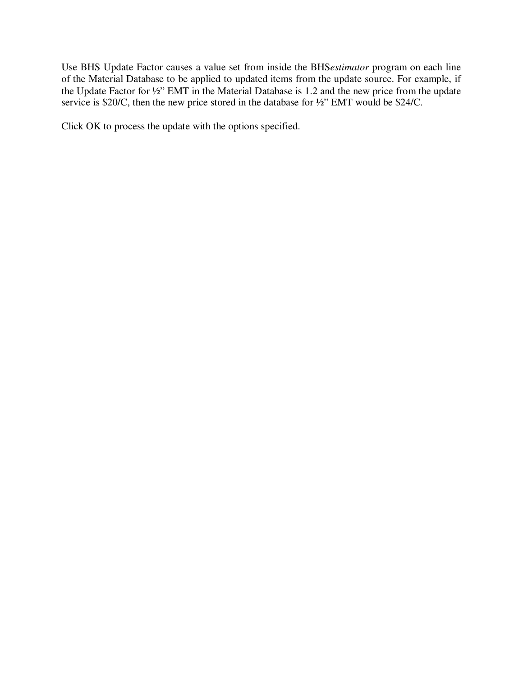Use BHS Update Factor causes a value set from inside the BHS*estimator* program on each line of the Material Database to be applied to updated items from the update source. For example, if the Update Factor for ½" EMT in the Material Database is 1.2 and the new price from the update service is \$20/C, then the new price stored in the database for  $\frac{1}{2}$ " EMT would be \$24/C.

Click OK to process the update with the options specified.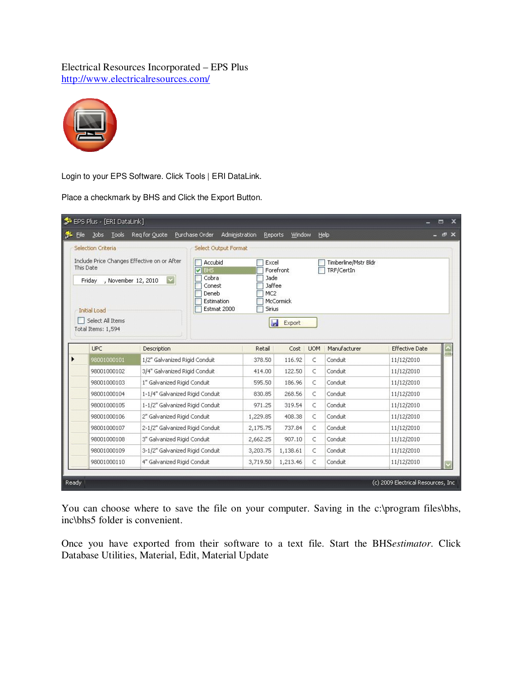# Electrical Resources Incorporated – EPS Plus http://www.electricalresources.com/



Login to your EPS Software. Click Tools | ERI DataLink.

Place a checkmark by BHS and Click the Export Button.

| Eile Jobs Lools Req for Quote                            |                                                                | Purchase Order<br>Administration                             | Reports                                     | Window           |            | Help                               |                          | $ e$ $\times$ |
|----------------------------------------------------------|----------------------------------------------------------------|--------------------------------------------------------------|---------------------------------------------|------------------|------------|------------------------------------|--------------------------|---------------|
| Selection Criteria                                       |                                                                | <b>Select Output Format</b>                                  |                                             |                  |            |                                    |                          |               |
| Include Price Changes Effective on or After<br>This Date |                                                                | Accubid<br>$\blacksquare$ BHS                                | Excel                                       | Forefront        |            | Timberline/Mstr Bldr<br>TRF/CertIn |                          |               |
| Friday<br>, November 12, 2010<br><b>Initial Load</b>     | $\vert \mathbf{v} \vert$                                       | Cobra<br>Conest<br>Deneb<br><b>Estimation</b><br>Estmat 2000 | Jade<br>Jaffee<br>MC <sub>2</sub><br>Sirius | McCormick        |            |                                    |                          |               |
| Select All Items                                         |                                                                |                                                              | P                                           | Export           |            |                                    |                          |               |
| Total Items: 1,594                                       |                                                                |                                                              |                                             |                  |            |                                    |                          |               |
| <b>UPC</b>                                               | Description                                                    |                                                              | Retail                                      | Cost             | <b>UOM</b> | Manufacturer                       | <b>Effective Date</b>    | <b>FIRS</b>   |
| 98001000101                                              | 1/2" Galvanized Rigid Conduit                                  |                                                              | 378.50                                      | 116.92           | C          | Conduit                            | 11/12/2010               |               |
| 98001000102                                              | 3/4" Galvanized Rigid Conduit                                  |                                                              | 414.00                                      | 122.50           | C          | Conduit                            | 11/12/2010               |               |
| 98001000103                                              | 1" Galvanized Rigid Conduit                                    |                                                              | 595.50                                      | 186.96           | C          | Conduit                            | 11/12/2010               |               |
| 98001000104                                              | 1-1/4" Galvanized Rigid Conduit                                |                                                              | 830.85                                      | 268.56           | C<br>C     | Conduit                            | 11/12/2010               |               |
| 98001000105                                              | 1-1/2" Galvanized Rigid Conduit                                |                                                              | 971.25                                      | 319.54           | C          | Conduit<br>Conduit                 | 11/12/2010               |               |
| 98001000106<br>98001000107                               | 2" Galvanized Rigid Conduit                                    |                                                              | 1,229.85                                    | 408.38<br>737.84 | C          | Conduit                            | 11/12/2010               |               |
| 98001000108                                              | 2-1/2" Galvanized Rigid Conduit<br>3" Galvanized Rigid Conduit |                                                              | 2,175.75<br>2,662.25                        | 907.10           | C          | Conduit                            | 11/12/2010<br>11/12/2010 |               |
| 98001000109                                              | 3-1/2" Galvanized Rigid Conduit                                |                                                              | 3,203,75                                    | 1,138.61         | C          | Conduit                            | 11/12/2010               |               |

You can choose where to save the file on your computer. Saving in the c:\program files\bhs, inc\bhs5 folder is convenient.

Once you have exported from their software to a text file. Start the BHS*estimator*. Click Database Utilities, Material, Edit, Material Update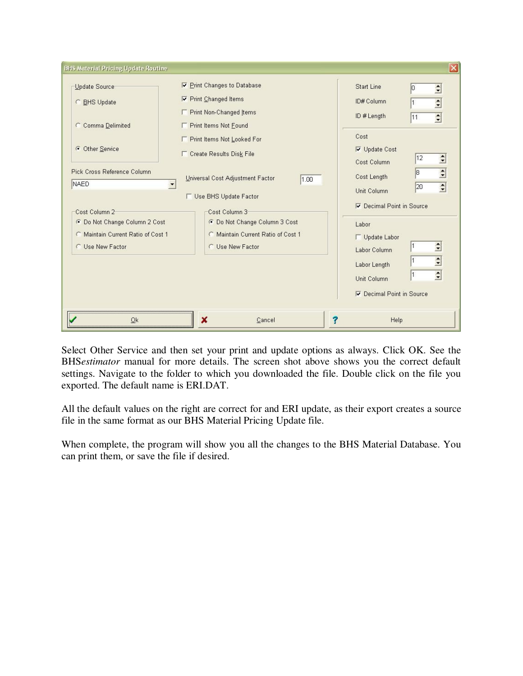| <b>BHS Material Pricing Update Routine</b>                                              |                                                                                                                        | $\overline{\mathsf{x}}$                                                                                                               |
|-----------------------------------------------------------------------------------------|------------------------------------------------------------------------------------------------------------------------|---------------------------------------------------------------------------------------------------------------------------------------|
| Update Source<br>C BHS Update<br>C Comma Delimited                                      | <b>▽ Print Changes to Database</b><br>Print Changed Items<br><b>F</b> Print Non-Changed Items<br>Print Items Not Found | <b>Start Line</b><br>$\Rightarrow$<br>10<br>$\frac{1}{\epsilon}$<br>ID# Column<br>$\overline{\phantom{a}}$<br>ID#Length<br>11<br>Cost |
| <b>C</b> Other Service<br>Pick Cross Reference Column                                   | Print Items Not Looked For<br>Create Results Disk File                                                                 | <b>▽</b> Update Cost<br>$\Rightarrow$<br>12<br>Cost Column<br>18                                                                      |
| NAED<br>Cost Column 2                                                                   | Universal Cost Adjustment Factor<br>1.00<br>$\blacktriangledown$<br><b>F</b> Use BHS Update Factor<br>Cost Column 3    | $\Rightarrow$<br>Cost Length<br>$\left  \cdot \right $<br>20<br>Unit Column<br><b>▽</b> Decimal Point in Source                       |
| C Do Not Change Column 2 Cost<br>C Maintain Current Ratio of Cost 1<br>C Use New Factor | C Do Not Change Column 3 Cost<br>Maintain Current Ratio of Cost 1<br>C Use New Factor                                  | Labor<br>Update Labor<br>$\Rightarrow$<br>Labor Column<br>$\div$<br>Labor Length                                                      |
| Qk                                                                                      | x<br>Cancel                                                                                                            | $\frac{1}{\bullet}$<br>Unit Column<br>Decimal Point in Source<br>Help                                                                 |

Select Other Service and then set your print and update options as always. Click OK. See the BHS*estimator* manual for more details. The screen shot above shows you the correct default settings. Navigate to the folder to which you downloaded the file. Double click on the file you exported. The default name is ERI.DAT.

All the default values on the right are correct for and ERI update, as their export creates a source file in the same format as our BHS Material Pricing Update file.

When complete, the program will show you all the changes to the BHS Material Database. You can print them, or save the file if desired.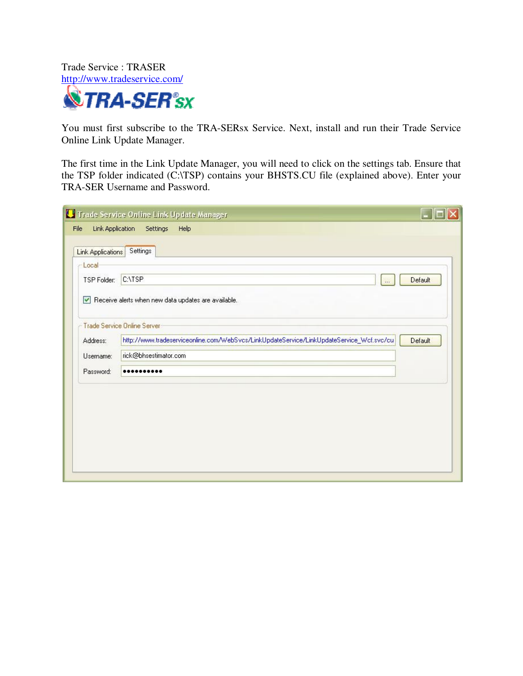Trade Service : TRASER http://www.tradeservice.com/ **NETRA-SER**<sup>®</sup>sx

You must first subscribe to the TRA-SERsx Service. Next, install and run their Trade Service Online Link Update Manager.

The first time in the Link Update Manager, you will need to click on the settings tab. Ensure that the TSP folder indicated (C:\TSP) contains your BHSTS.CU file (explained above). Enter your TRA-SER Username and Password.

| Link Application<br>File<br>Link Applications<br>Local | Settings Help<br>Settings                                                                |         |
|--------------------------------------------------------|------------------------------------------------------------------------------------------|---------|
|                                                        |                                                                                          |         |
|                                                        |                                                                                          |         |
|                                                        |                                                                                          |         |
| TSP Folder:                                            | C:\TSP<br>$\ldots$                                                                       | Default |
| <b>Trade Service Online Server</b>                     | Receive alerts when new data updates are available.                                      |         |
| Address:                                               | http://www.tradeserviceonline.com/WebSvcs/LinkUpdateService/LinkUpdateService_Wcf.svc/cu | Default |
| Username:                                              | rick@bhsestimator.com                                                                    |         |
| Password:                                              |                                                                                          |         |
|                                                        |                                                                                          |         |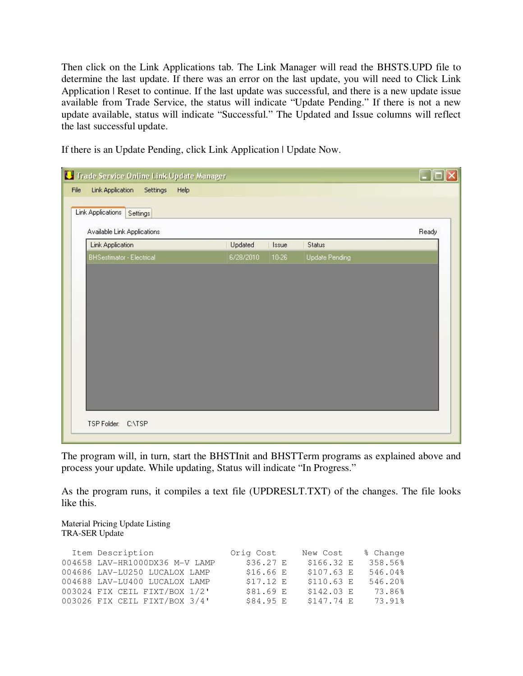Then click on the Link Applications tab. The Link Manager will read the BHSTS.UPD file to determine the last update. If there was an error on the last update, you will need to Click Link Application | Reset to continue. If the last update was successful, and there is a new update issue available from Trade Service, the status will indicate "Update Pending." If there is not a new update available, status will indicate "Successful." The Updated and Issue columns will reflect the last successful update.

If there is an Update Pending, click Link Application | Update Now.

| Link Application<br>Settings<br>Help<br>File | Trade Service Online Link Update Manager |       |                       | $\Box$ $\Box$ $\times$ |
|----------------------------------------------|------------------------------------------|-------|-----------------------|------------------------|
| Link Applications<br>Settings                |                                          |       |                       |                        |
| Available Link Applications                  |                                          |       |                       | Ready                  |
| <b>Link Application</b>                      | Updated                                  | Issue | <b>Status</b>         |                        |
| BHSestimator - Electrical                    | 6/28/2010                                | 10-26 | <b>Update Pending</b> |                        |
|                                              |                                          |       |                       |                        |
|                                              |                                          |       |                       |                        |
|                                              |                                          |       |                       |                        |
|                                              |                                          |       |                       |                        |

The program will, in turn, start the BHSTInit and BHSTTerm programs as explained above and process your update. While updating, Status will indicate "In Progress."

As the program runs, it compiles a text file (UPDRESLT.TXT) of the changes. The file looks like this.

Material Pricing Update Listing TRA-SER Update

| Item Description               | Orig Cost  | New Cost    | % Change |
|--------------------------------|------------|-------------|----------|
| 004658 LAV-HR1000DX36 M-V LAMP | \$36.27 E  | \$166.32 E  | 358.56%  |
| 004686 LAV-LU250 LUCALOX LAMP  | \$16.66 E  | \$107.63 E  | 546.04%  |
| 004688 LAV-LU400 LUCALOX LAMP  | $$17.12$ E | $$110.63$ E | 546.20%  |
| 003024 FIX CEIL FIXT/BOX 1/2'  | \$81.69 E  | $$142.03$ E | 73.86%   |
| 003026 FIX CEIL FIXT/BOX 3/4'  | \$84.95 E  | \$147.74 E  | 73.91%   |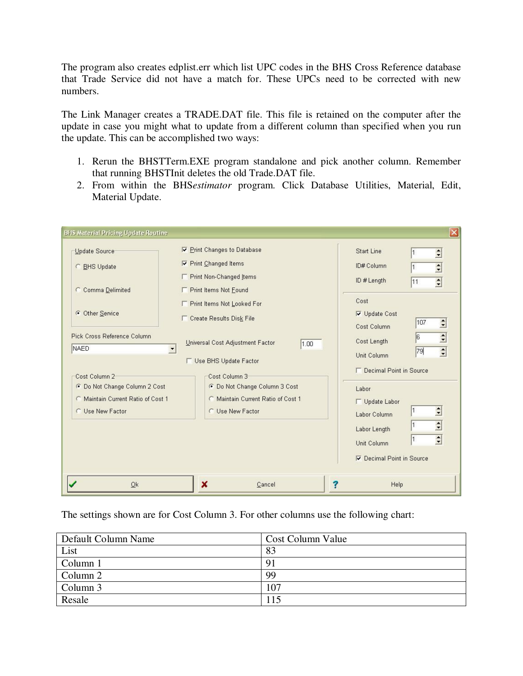The program also creates edplist.err which list UPC codes in the BHS Cross Reference database that Trade Service did not have a match for. These UPCs need to be corrected with new numbers.

The Link Manager creates a TRADE.DAT file. This file is retained on the computer after the update in case you might what to update from a different column than specified when you run the update. This can be accomplished two ways:

- 1. Rerun the BHSTTerm.EXE program standalone and pick another column. Remember that running BHSTInit deletes the old Trade.DAT file.
- 2. From within the BHS*estimator* program. Click Database Utilities, Material, Edit, Material Update.

|                                                                                                          |                                                                                                          | Labor Length<br>Unit Column<br>Decimal Point in Source               | $\div$<br>$\Rightarrow$<br>1 |
|----------------------------------------------------------------------------------------------------------|----------------------------------------------------------------------------------------------------------|----------------------------------------------------------------------|------------------------------|
| Cost Column 2<br>C Do Not Change Column 2 Cost<br>C Maintain Current Ratio of Cost 1<br>C Use New Factor | Cost Column 3<br>C Do Not Change Column 3 Cost<br>C Maintain Current Ratio of Cost 1<br>C Use New Factor | Labor<br>Update Labor<br>Labor Column                                | $\Rightarrow$<br>1           |
| Pick Cross Reference Column<br><b>NAED</b>                                                               | Universal Cost Adjustment Factor<br>1.00<br><b>F</b> Use BHS Update Factor                               | Cost Column<br>Cost Length<br>Unit Column<br>Decimal Point in Source | $\div$<br>6<br>$\div$<br>79  |
| C Other Service                                                                                          | F Print Items Not Looked For<br><b>Create Results Disk File</b>                                          | Cost<br><b>▽</b> Update Cost                                         | $\Rightarrow$<br>107         |
| C Comma Delimited                                                                                        | <b>F</b> Print Non-Changed Items<br>F Print Items Not Found                                              | ID # Length                                                          | $\div$<br>11                 |
| Update Source<br>C BHS Update                                                                            | <b>▽ Print Changes to Database</b><br><b>▽</b> Print Changed Items                                       | <b>Start Line</b><br>ID# Column                                      | $\ddot{•}$<br>$\div$         |

The settings shown are for Cost Column 3. For other columns use the following chart:

| Default Column Name | Cost Column Value |
|---------------------|-------------------|
| List                | 83                |
| Column 1            | 9                 |
| Column 2            | 99                |
| Column 3            | 107               |
| Resale              |                   |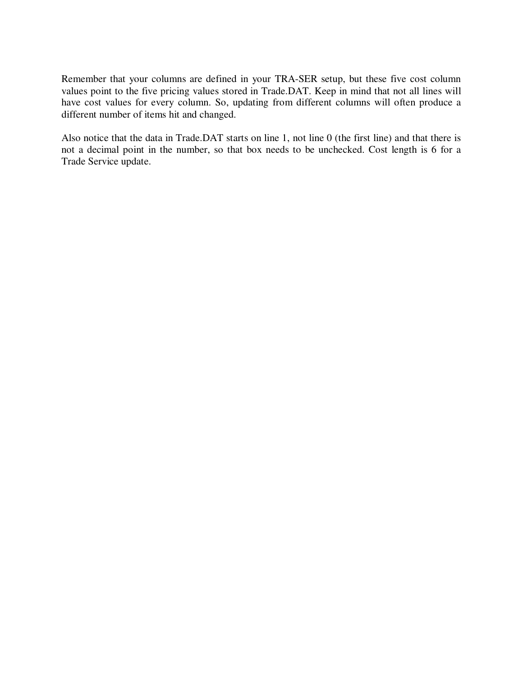Remember that your columns are defined in your TRA-SER setup, but these five cost column values point to the five pricing values stored in Trade.DAT. Keep in mind that not all lines will have cost values for every column. So, updating from different columns will often produce a different number of items hit and changed.

Also notice that the data in Trade.DAT starts on line 1, not line 0 (the first line) and that there is not a decimal point in the number, so that box needs to be unchecked. Cost length is 6 for a Trade Service update.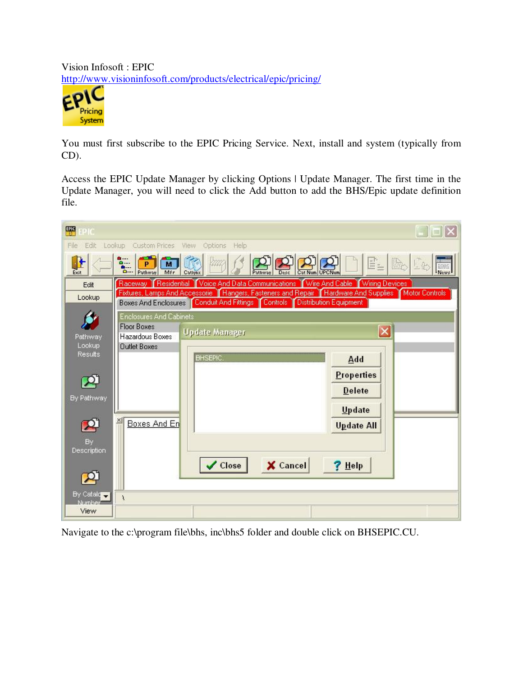Vision Infosoft : EPIC http://www.visioninfosoft.com/products/electrical/epic/pricing/



You must first subscribe to the EPIC Pricing Service. Next, install and system (typically from CD).

Access the EPIC Update Manager by clicking Options | Update Manager. The first time in the Update Manager, you will need to click the Add button to add the BHS/Epic update definition file.

| EPIC<br>PIC       |                                                                         |                       |                                                        |                                                                                                         | m                |
|-------------------|-------------------------------------------------------------------------|-----------------------|--------------------------------------------------------|---------------------------------------------------------------------------------------------------------|------------------|
| File<br>Edit      | Custom Prices View<br>Lookup                                            | Options<br>Help       |                                                        |                                                                                                         |                  |
| Ռ<br>Exit         | ۵<br>$\overline{M}$<br>P<br><b>A.</b><br>Pathway<br>Mfr<br>$\Omega$ --- | 顺<br>Catlunx          | Desc<br>Cat Num UPCNur<br>Pathway                      | e.                                                                                                      | News<br>Þ.<br>上部 |
| Edit              |                                                                         |                       |                                                        | Raceway   Residential   Voice And Data Communications   Wire And Cable   Wiring Devices                 |                  |
| Lookup            | <b>Boxes And Enclosures</b>                                             |                       | Conduit And Fittings Controls   Distribution Equipment | Fixtures, Lamps And Accessorie   Hangers, Fasteners and Repair   Hardware And Supplies   Motor Controls |                  |
|                   | <b>Enclosures And Cabinets</b>                                          |                       |                                                        |                                                                                                         |                  |
|                   | <b>Floor Boxes</b>                                                      |                       |                                                        |                                                                                                         |                  |
| Pathway           | Hazardous Boxes                                                         | <b>Update Manager</b> |                                                        | ×                                                                                                       |                  |
| Lookup<br>Results | <b>Outlet Boxes</b>                                                     |                       |                                                        |                                                                                                         |                  |
|                   |                                                                         | <b>BHSEPIC.</b>       |                                                        | Add                                                                                                     |                  |
|                   |                                                                         |                       |                                                        | <b>Properties</b>                                                                                       |                  |
|                   |                                                                         |                       |                                                        | <b>Delete</b>                                                                                           |                  |
| By Pathway        |                                                                         |                       |                                                        |                                                                                                         |                  |
|                   |                                                                         |                       |                                                        | Update                                                                                                  |                  |
|                   | ×<br>Boxes And En                                                       |                       |                                                        | <b>Update All</b>                                                                                       |                  |
| <b>By</b>         |                                                                         |                       |                                                        |                                                                                                         |                  |
| Description       |                                                                         |                       |                                                        |                                                                                                         |                  |
|                   |                                                                         | Close                 | X Cancel                                               | $?$ Help                                                                                                |                  |
|                   |                                                                         |                       |                                                        |                                                                                                         |                  |
| By Catalo         |                                                                         |                       |                                                        |                                                                                                         |                  |
| Niumbe            | ١                                                                       |                       |                                                        |                                                                                                         |                  |
| View              |                                                                         |                       |                                                        |                                                                                                         |                  |

Navigate to the c:\program file\bhs, inc\bhs5 folder and double click on BHSEPIC.CU.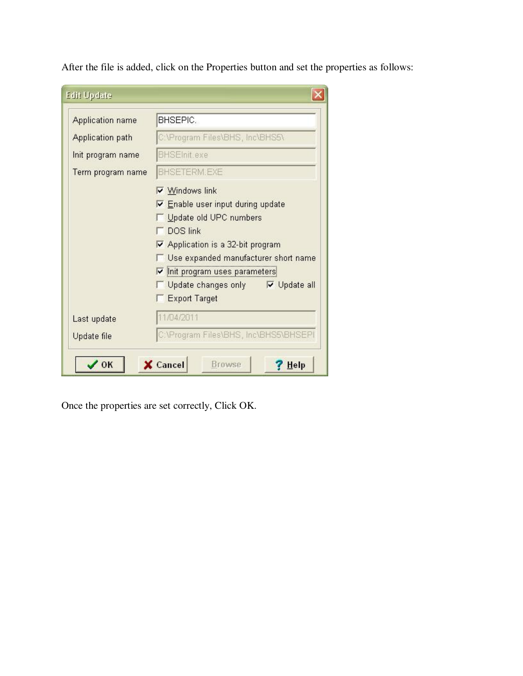| <b>Application name</b> | BHSEPIC.                                     |
|-------------------------|----------------------------------------------|
| Application path        | C:\Program Files\BHS, Inc\BHS5\              |
| Init program name       | <b>BHSEInit.exe</b>                          |
| Term program name       | <b>BHSETERM.EXE</b>                          |
|                         | <b>▽ Windows link</b>                        |
|                         | <b>▽ Enable user input during update</b>     |
|                         | Update old UPC numbers                       |
|                         | DOS link                                     |
|                         | ☑ Application is a 32-bit program            |
|                         | Use expanded manufacturer short name         |
|                         | $\triangledown$ init program uses parameters |
|                         | □ Update changes only ■ V Update all         |
|                         | <b>Export Target</b>                         |
| Last update             | 11/04/2011                                   |
| Update file             | C:\Program Files\BHS, Inc\BHS5\BHSEPI        |

After the file is added, click on the Properties button and set the properties as follows:

Once the properties are set correctly, Click OK.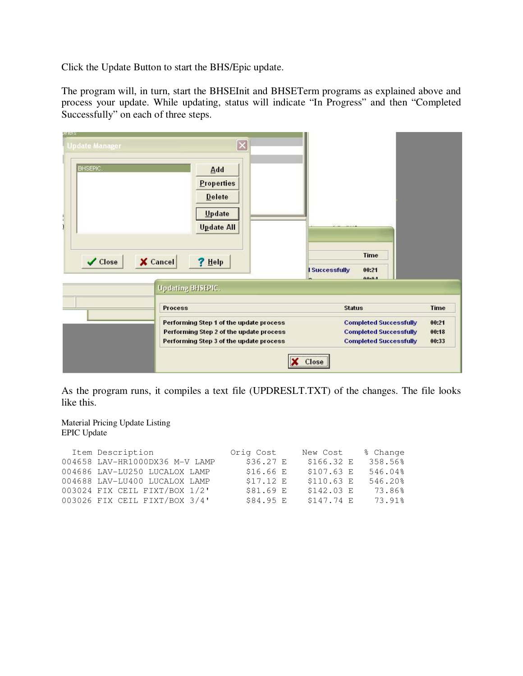Click the Update Button to start the BHS/Epic update.

The program will, in turn, start the BHSEInit and BHSETerm programs as explained above and process your update. While updating, status will indicate "In Progress" and then "Completed Successfully" on each of three steps.

| ગદાસ્ટ<br><b>Update Manager</b><br>BHSEPIC. | $\left[\times\right]$<br>Add<br>Properties<br>Delete<br>Update<br><b>Update All</b>                                           |                                                                                                 |                         |
|---------------------------------------------|-------------------------------------------------------------------------------------------------------------------------------|-------------------------------------------------------------------------------------------------|-------------------------|
| $X$ Cancel<br>✔ Close                       | $?$ Help<br>Updating BHSEPIC.                                                                                                 | <b>Time</b><br>00:21<br>I Successfully<br>00.04                                                 |                         |
|                                             | <b>Process</b>                                                                                                                | <b>Status</b>                                                                                   | Time                    |
|                                             | Performing Step 1 of the update process<br>Performing Step 2 of the update process<br>Performing Step 3 of the update process | <b>Completed Successfully</b><br><b>Completed Successfully</b><br><b>Completed Successfully</b> | 00:21<br>00:18<br>00:33 |
|                                             |                                                                                                                               | Close                                                                                           |                         |

As the program runs, it compiles a text file (UPDRESLT.TXT) of the changes. The file looks like this.

Material Pricing Update Listing EPIC Update

| Item Description               | Orig Cost | New Cost    | % Change |
|--------------------------------|-----------|-------------|----------|
| 004658 LAV-HR1000DX36 M-V LAMP | \$36.27 E | \$166.32 E  | 358.56%  |
| 004686 LAV-LU250 LUCALOX LAMP  | \$16.66 E | \$107.63 E  | 546.04%  |
| 004688 LAV-LU400 LUCALOX LAMP  | \$17.12 E | $$110.63$ E | 546.20%  |
| 003024 FIX CEIL FIXT/BOX 1/2'  | \$81.69 E | $$142.03$ E | 73.86%   |
| 003026 FIX CEIL FIXT/BOX 3/4'  | \$84.95 E | \$147.74 E  | 73.91%   |